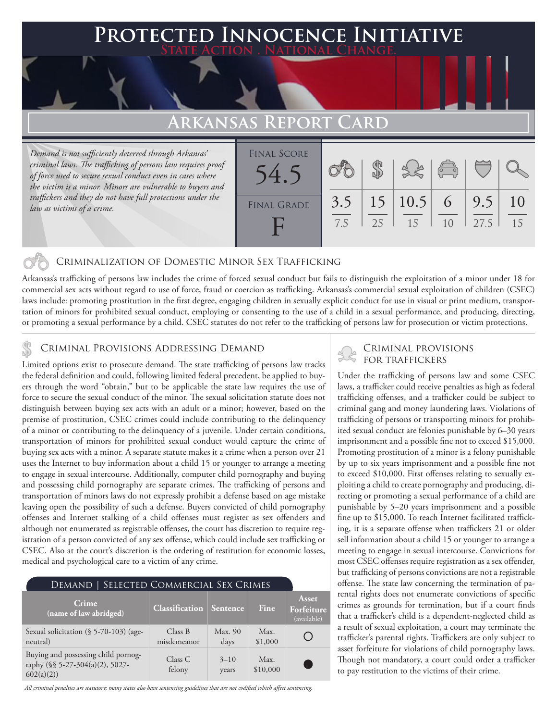### **PTED INNOCENCE INITIATIVE State Action . National Change.**

# **Arkansas Report Card**

*Demand is not sufficiently deterred through Arkansas' criminal laws. The trafficking of persons law requires proof of force used to secure sexual conduct even in cases where the victim is a minor. Minors are vulnerable to buyers and traffickers and they do not have full protections under the law as victims of a crime.*

| <b>FINAL SCORE</b><br>54.5 |            |    |                           | $\begin{array}{c}\n\circ \\ \circ\n\end{array}$ |             |          |
|----------------------------|------------|----|---------------------------|-------------------------------------------------|-------------|----------|
| <b>FINAL GRADE</b>         | 3.5<br>7.5 | 25 | $15 \mid 10.5 \mid$<br>15 | 6<br>10                                         | 9.5<br>27.5 | 10<br>15 |

### Criminalization of Domestic Minor Sex Trafficking

Arkansas's trafficking of persons law includes the crime of forced sexual conduct but fails to distinguish the exploitation of a minor under 18 for commercial sex acts without regard to use of force, fraud or coercion as trafficking. Arkansas's commercial sexual exploitation of children (CSEC) laws include: promoting prostitution in the first degree, engaging children in sexually explicit conduct for use in visual or print medium, transportation of minors for prohibited sexual conduct, employing or consenting to the use of a child in a sexual performance, and producing, directing, or promoting a sexual performance by a child. CSEC statutes do not refer to the trafficking of persons law for prosecution or victim protections.

# CRIMINAL PROVISIONS ADDRESSING DEMAND<br>I imited options wist to processute demand The state trafficking of persons law tracks FOR TRAFFICKERS

Limited options exist to prosecute demand. The state trafficking of persons law tracks the federal definition and could, following limited federal precedent, be applied to buyers through the word "obtain," but to be applicable the state law requires the use of force to secure the sexual conduct of the minor. The sexual solicitation statute does not distinguish between buying sex acts with an adult or a minor; however, based on the premise of prostitution, CSEC crimes could include contributing to the delinquency of a minor or contributing to the delinquency of a juvenile. Under certain conditions, transportation of minors for prohibited sexual conduct would capture the crime of buying sex acts with a minor. A separate statute makes it a crime when a person over 21 uses the Internet to buy information about a child 15 or younger to arrange a meeting to engage in sexual intercourse. Additionally, computer child pornography and buying and possessing child pornography are separate crimes. The trafficking of persons and transportation of minors laws do not expressly prohibit a defense based on age mistake leaving open the possibility of such a defense. Buyers convicted of child pornography offenses and Internet stalking of a child offenses must register as sex offenders and although not enumerated as registrable offenses, the court has discretion to require registration of a person convicted of any sex offense, which could include sex trafficking or CSEC. Also at the court's discretion is the ordering of restitution for economic losses, medical and psychological care to a victim of any crime.

| SELECTED COMMERCIAL SEX CRIMES<br>DEMAND                                            |                        |                   |                  |                                           |  |  |  |
|-------------------------------------------------------------------------------------|------------------------|-------------------|------------------|-------------------------------------------|--|--|--|
| Crime<br>(name of law abridged)                                                     | <b>Classification</b>  | Sentence          | Fine             | <b>Asset</b><br>Forfeiture<br>(available) |  |  |  |
| Sexual solicitation (§ 5-70-103) (age-<br>neutral)                                  | Class B<br>misdemeanor | Max. 90<br>days   | Max.<br>\$1,000  |                                           |  |  |  |
| Buying and possessing child pornog-<br>raphy (§§ 5-27-304(a)(2), 5027-<br>602(a)(2) | Class C<br>felony      | $3 - 10$<br>years | Max.<br>\$10,000 |                                           |  |  |  |

*All criminal penalties are statutory; many states also have sentencing guidelines that are not codified which affect sentencing.* 

Under the trafficking of persons law and some CSEC laws, a trafficker could receive penalties as high as federal trafficking offenses, and a trafficker could be subject to criminal gang and money laundering laws. Violations of trafficking of persons or transporting minors for prohibited sexual conduct are felonies punishable by 6–30 years imprisonment and a possible fine not to exceed \$15,000. Promoting prostitution of a minor is a felony punishable by up to six years imprisonment and a possible fine not to exceed \$10,000. First offenses relating to sexually exploiting a child to create pornography and producing, directing or promoting a sexual performance of a child are punishable by 5–20 years imprisonment and a possible fine up to \$15,000. To reach Internet facilitated trafficking, it is a separate offense when traffickers 21 or older sell information about a child 15 or younger to arrange a meeting to engage in sexual intercourse. Convictions for most CSEC offenses require registration as a sex offender, but trafficking of persons convictions are not a registrable offense. The state law concerning the termination of parental rights does not enumerate convictions of specific crimes as grounds for termination, but if a court finds that a trafficker's child is a dependent-neglected child as a result of sexual exploitation, a court may terminate the trafficker's parental rights. Traffickers are only subject to asset forfeiture for violations of child pornography laws. Though not mandatory, a court could order a trafficker to pay restitution to the victims of their crime.